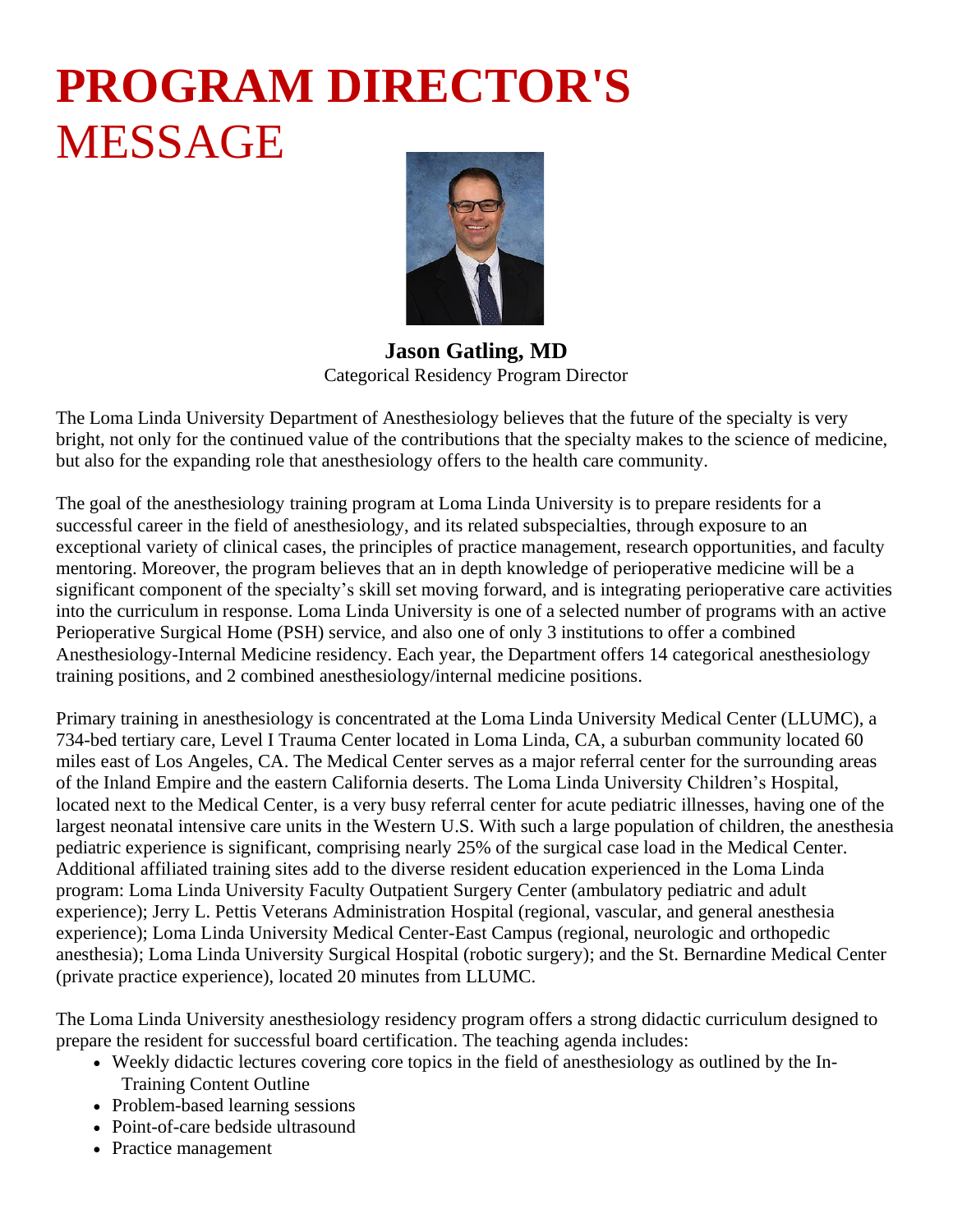## **PROGRAM DIRECTOR'S** MESSAGE



**Jason Gatling, MD** Categorical Residency Program Director

The Loma Linda University Department of Anesthesiology believes that the future of the specialty is very bright, not only for the continued value of the contributions that the specialty makes to the science of medicine, but also for the expanding role that anesthesiology offers to the health care community.

The goal of the anesthesiology training program at Loma Linda University is to prepare residents for a successful career in the field of anesthesiology, and its related subspecialties, through exposure to an exceptional variety of clinical cases, the principles of practice management, research opportunities, and faculty mentoring. Moreover, the program believes that an in depth knowledge of perioperative medicine will be a significant component of the specialty's skill set moving forward, and is integrating perioperative care activities into the curriculum in response. Loma Linda University is one of a selected number of programs with an active Perioperative Surgical Home (PSH) service, and also one of only 3 institutions to offer a combined Anesthesiology-Internal Medicine residency. Each year, the Department offers 14 categorical anesthesiology training positions, and 2 combined anesthesiology/internal medicine positions.

Primary training in anesthesiology is concentrated at the Loma Linda University Medical Center (LLUMC), a 734-bed tertiary care, Level I Trauma Center located in Loma Linda, CA, a suburban community located 60 miles east of Los Angeles, CA. The Medical Center serves as a major referral center for the surrounding areas of the Inland Empire and the eastern California deserts. The Loma Linda University Children's Hospital, located next to the Medical Center, is a very busy referral center for acute pediatric illnesses, having one of the largest neonatal intensive care units in the Western U.S. With such a large population of children, the anesthesia pediatric experience is significant, comprising nearly 25% of the surgical case load in the Medical Center. Additional affiliated training sites add to the diverse resident education experienced in the Loma Linda program: Loma Linda University Faculty Outpatient Surgery Center (ambulatory pediatric and adult experience); Jerry L. Pettis Veterans Administration Hospital (regional, vascular, and general anesthesia experience); Loma Linda University Medical Center-East Campus (regional, neurologic and orthopedic anesthesia); Loma Linda University Surgical Hospital (robotic surgery); and the St. Bernardine Medical Center (private practice experience), located 20 minutes from LLUMC.

The Loma Linda University anesthesiology residency program offers a strong didactic curriculum designed to prepare the resident for successful board certification. The teaching agenda includes:

- Weekly didactic lectures covering core topics in the field of anesthesiology as outlined by the In-Training Content Outline
- Problem-based learning sessions
- Point-of-care bedside ultrasound
- Practice management